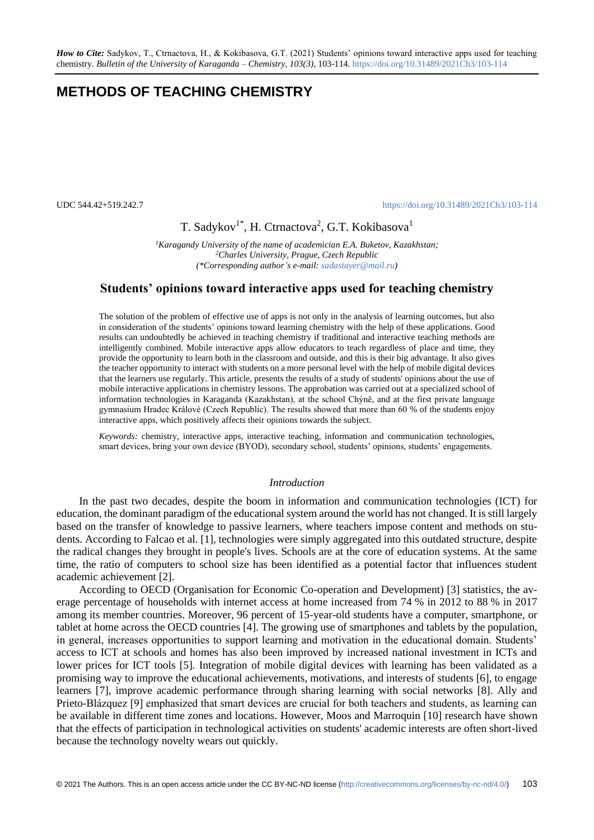# **METHODS OF TEACHING CHEMISTRY**

#### UDC 544.42+519.242.7 <https://doi.org/10.31489/2021Ch3/103-114>

## T. Sadykov<sup>1\*</sup>, H. Ctrnactova<sup>2</sup>, G.T. Kokibasova<sup>1</sup>

*<sup>1</sup>Karagandy University of the name of academician E.A. Buketov, Kazakhstan; <sup>2</sup>Charles University, Prague, Czech Republic (\*Corresponding author's e-mail: [sadastayer@mail.ru\)](mailto:sadastayer@mail.ru)*

### **Students' opinions toward interactive apps used for teaching chemistry**

The solution of the problem of effective use of apps is not only in the analysis of learning outcomes, but also in consideration of the students' opinions toward learning chemistry with the help of these applications. Good results can undoubtedly be achieved in teaching chemistry if traditional and interactive teaching methods are intelligently combined. Mobile interactive apps allow educators to teach regardless of place and time, they provide the opportunity to learn both in the classroom and outside, and this is their big advantage. It also gives the teacher opportunity to interact with students on a more personal level with the help of mobile digital devices that the learners use regularly. This article, presents the results of a study of students' opinions about the use of mobile interactive applications in chemistry lessons. The approbation was carried out at a specialized school of information technologies in Karaganda (Kazakhstan), at the school Chýně, and at the first private language gymnasium Hradec Králové (Czech Republic). The results showed that more than 60 % of the students enjoy interactive apps, which positively affects their opinions towards the subject.

*Keywords:* chemistry, interactive apps, interactive teaching, information and communication technologies, smart devices, bring your own device (BYOD), secondary school, students' opinions, students' engagements.

#### *Introduction*

In the past two decades, despite the boom in information and communication technologies (ICT) for education, the dominant paradigm of the educational system around the world has not changed. It is still largely based on the transfer of knowledge to passive learners, where teachers impose content and methods on students. According to Falcao et al. [1], technologies were simply aggregated into this outdated structure, despite the radical changes they brought in people's lives. Schools are at the core of education systems. At the same time, the ratio of computers to school size has been identified as a potential factor that influences student academic achievement [2].

According to OECD (Organisation for Economic Co-operation and Development) [3] statistics, the average percentage of households with internet access at home increased from 74 % in 2012 to 88 % in 2017 among its member countries. Moreover, 96 percent of 15-year-old students have a computer, smartphone, or tablet at home across the OECD countries [4]. The growing use of smartphones and tablets by the population, in general, increases opportunities to support learning and motivation in the educational domain. Students' access to ICT at schools and homes has also been improved by increased national investment in ICTs and lower prices for ICT tools [5]. Integration of mobile digital devices with learning has been validated as a promising way to improve the educational achievements, motivations, and interests of students [6], to engage learners [7], improve academic performance through sharing learning with social networks [8]. Ally and Prieto-Blázquez [9] emphasized that smart devices are crucial for both teachers and students, as learning can be available in different time zones and locations. However, Moos and Marroquin [10] research have shown that the effects of participation in technological activities on students' academic interests are often short-lived because the technology novelty wears out quickly.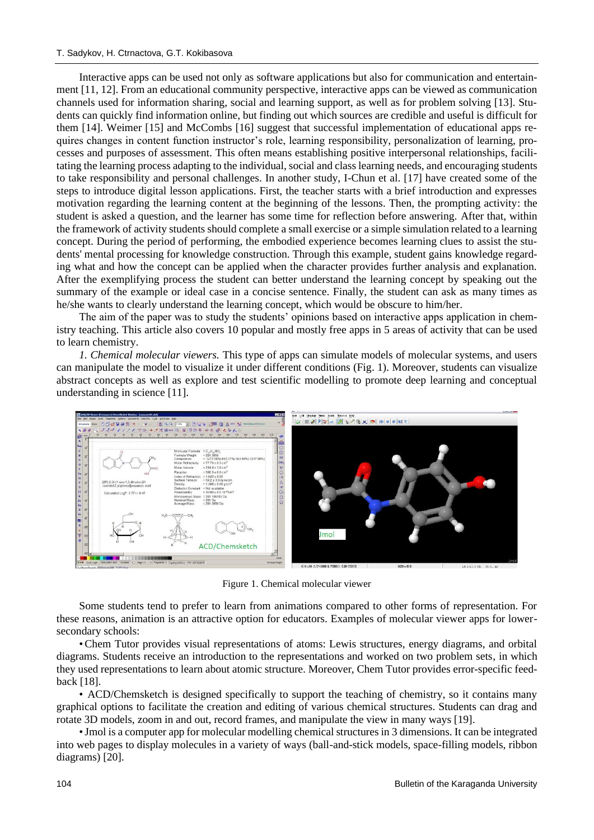Interactive apps can be used not only as software applications but also for communication and entertainment [11, 12]. From an educational community perspective, interactive apps can be viewed as communication channels used for information sharing, social and learning support, as well as for problem solving [13]. Students can quickly find information online, but finding out which sources are credible and useful is difficult for them [14]. Weimer [15] and McCombs [16] suggest that successful implementation of educational apps requires changes in content function instructor's role, learning responsibility, personalization of learning, processes and purposes of assessment. This often means establishing positive interpersonal relationships, facilitating the learning process adapting to the individual, social and class learning needs, and encouraging students to take responsibility and personal challenges. In another study, I-Chun et al. [17] have created some of the steps to introduce digital lesson applications. First, the teacher starts with a brief introduction and expresses motivation regarding the learning content at the beginning of the lessons. Then, the prompting activity: the student is asked a question, and the learner has some time for reflection before answering. After that, within the framework of activity students should complete a small exercise or a simple simulation related to a learning concept. During the period of performing, the embodied experience becomes learning clues to assist the students' mental processing for knowledge construction. Through this example, student gains knowledge regarding what and how the concept can be applied when the character provides further analysis and explanation. After the exemplifying process the student can better understand the learning concept by speaking out the summary of the example or ideal case in a concise sentence. Finally, the student can ask as many times as he/she wants to clearly understand the learning concept, which would be obscure to him/her.

The aim of the paper was to study the students' opinions based on interactive apps application in chemistry teaching. This article also covers 10 popular and mostly free apps in 5 areas of activity that can be used to learn chemistry.

*1. Chemical molecular viewers.* This type of apps can simulate models of molecular systems, and users can manipulate the model to visualize it under different conditions (Fig. 1). Moreover, students can visualize abstract concepts as well as explore and test scientific modelling to promote deep learning and conceptual understanding in science [11].



Figure 1. Chemical molecular viewer

Some students tend to prefer to learn from animations compared to other forms of representation. For these reasons, animation is an attractive option for educators. Examples of molecular viewer apps for lowersecondary schools:

•Chem Tutor provides visual representations of atoms: Lewis structures, energy diagrams, and orbital diagrams. Students receive an introduction to the representations and worked on two problem sets, in which they used representations to learn about atomic structure. Moreover, Chem Tutor provides error-specific feedback [18].

• ACD/Chemsketch is designed specifically to support the teaching of chemistry, so it contains many graphical options to facilitate the creation and editing of various chemical structures. Students can drag and rotate 3D models, zoom in and out, record frames, and manipulate the view in many ways [19].

•Jmol is a computer app for molecular modelling chemical structures in 3 dimensions. It can be integrated into web pages to display molecules in a variety of ways (ball-and-stick models, space-filling models, ribbon diagrams) [20].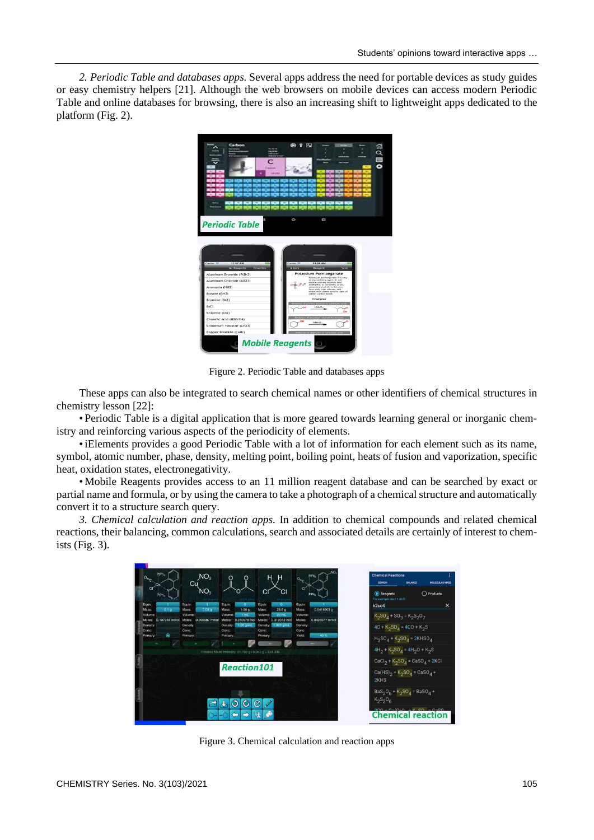*2. Periodic Table and databases apps.* Several apps address the need for portable devices as study guides or easy chemistry helpers [21]. Although the web browsers on mobile devices can access modern Periodic Table and online databases for browsing, there is also an increasing shift to lightweight apps dedicated to the platform (Fig. 2).



Figure 2. Periodic Table and databases apps

These apps can also be integrated to search chemical names or other identifiers of chemical structures in chemistry lesson [22]:

• Periodic Table is a digital application that is more geared towards learning general or inorganic chemistry and reinforcing various aspects of the periodicity of elements.

•iElements provides a good Periodic Table with a lot of information for each element such as its name, symbol, atomic number, phase, density, melting point, boiling point, heats of fusion and vaporization, specific heat, oxidation states, electronegativity.

• Mobile Reagents provides access to an 11 million reagent database and can be searched by exact or partial name and formula, or by using the camera to take a photograph of a chemical structure and automatically convert it to a structure search query.

*3. Chemical calculation and reaction apps.* In addition to chemical compounds and related chemical reactions, their balancing, common calculations, search and associated details are certainly of interest to chemists (Fig. 3).



Figure 3. Chemical calculation and reaction apps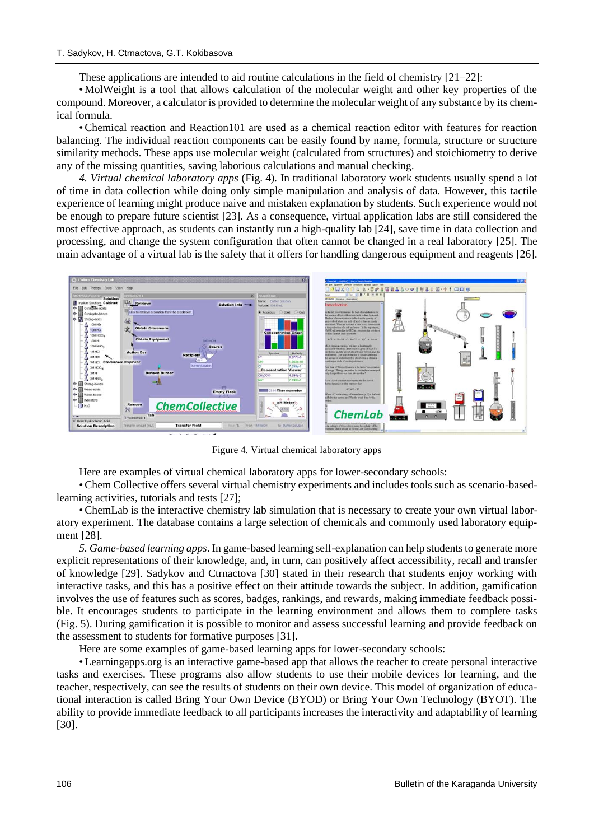These applications are intended to aid routine calculations in the field of chemistry [21–22]:

• MolWeight is a tool that allows calculation of the molecular weight and other key properties of the compound. Moreover, a calculator is provided to determine the molecular weight of any substance by its chemical formula.

•Chemical reaction and Reaction101 are used as a chemical reaction editor with features for reaction balancing. The individual reaction components can be easily found by name, formula, structure or structure similarity methods. These apps use molecular weight (calculated from structures) and stoichiometry to derive any of the missing quantities, saving laborious calculations and manual checking.

*4. Virtual chemical laboratory apps* (Fig. 4)*.* In traditional laboratory work students usually spend a lot of time in data collection while doing only simple manipulation and analysis of data. However, this tactile experience of learning might produce naive and mistaken explanation by students. Such experience would not be enough to prepare future scientist [23]. As a consequence, virtual application labs are still considered the most effective approach, as students can instantly run a high-quality lab [24], save time in data collection and processing, and change the system configuration that often cannot be changed in a real laboratory [25]. The main advantage of a virtual lab is the safety that it offers for handling dangerous equipment and reagents [26].



Figure 4. Virtual chemical laboratory apps

Here are examples of virtual chemical laboratory apps for lower-secondary schools:

•Chem Collective offers several virtual chemistry experiments and includes tools such as scenario-basedlearning activities, tutorials and tests [27];

•ChemLab is the interactive chemistry lab simulation that is necessary to create your own virtual laboratory experiment. The database contains a large selection of chemicals and commonly used laboratory equipment [28].

*5. Game-based learning apps*. In game-based learning self-explanation can help students to generate more explicit representations of their knowledge, and, in turn, can positively affect accessibility, recall and transfer of knowledge [29]. Sadykov and Ctrnactova [30] stated in their research that students enjoy working with interactive tasks, and this has a positive effect on their attitude towards the subject. In addition, gamification involves the use of features such as scores, badges, rankings, and rewards, making immediate feedback possible. It encourages students to participate in the learning environment and allows them to complete tasks (Fig. 5). During gamification it is possible to monitor and assess successful learning and provide feedback on the assessment to students for formative purposes [31].

Here are some examples of game-based learning apps for lower-secondary schools:

• Learningapps.org is an interactive game-based app that allows the teacher to create personal interactive tasks and exercises. These programs also allow students to use their mobile devices for learning, and the teacher, respectively, can see the results of students on their own device. This model of organization of educational interaction is called Bring Your Own Device (BYOD) or Bring Your Own Technology (BYOT). The ability to provide immediate feedback to all participants increases the interactivity and adaptability of learning [30].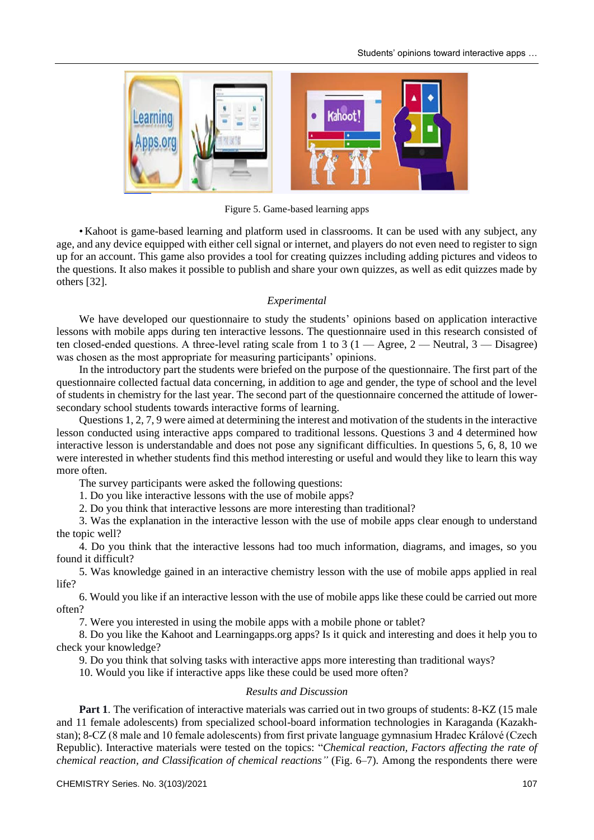

Figure 5. Game-based learning apps

• Kahoot is game-based learning and platform used in classrooms. It can be used with any subject, any age, and any device equipped with either cell signal or internet, and players do not even need to register to sign up for an account. This game also provides a tool for creating quizzes including adding pictures and videos to the questions. It also makes it possible to publish and share your own quizzes, as well as edit quizzes made by others [32].

### *Experimental*

We have developed our questionnaire to study the students' opinions based on application interactive lessons with mobile apps during ten interactive lessons. The questionnaire used in this research consisted of ten closed-ended questions. A three-level rating scale from 1 to 3 (1 — Agree, 2 — Neutral, 3 — Disagree) was chosen as the most appropriate for measuring participants' opinions.

In the introductory part the students were briefed on the purpose of the questionnaire. The first part of the questionnaire collected factual data concerning, in addition to age and gender, the type of school and the level of students in chemistry for the last year. The second part of the questionnaire concerned the attitude of lowersecondary school students towards interactive forms of learning.

Questions 1, 2, 7, 9 were aimed at determining the interest and motivation of the students in the interactive lesson conducted using interactive apps compared to traditional lessons. Questions 3 and 4 determined how interactive lesson is understandable and does not pose any significant difficulties. In questions 5, 6, 8, 10 we were interested in whether students find this method interesting or useful and would they like to learn this way more often.

The survey participants were asked the following questions:

1. Do you like interactive lessons with the use of mobile apps?

2. Do you think that interactive lessons are more interesting than traditional?

3. Was the explanation in the interactive lesson with the use of mobile apps clear enough to understand the topic well?

4. Do you think that the interactive lessons had too much information, diagrams, and images, so you found it difficult?

5. Was knowledge gained in an interactive chemistry lesson with the use of mobile apps applied in real life?

6. Would you like if an interactive lesson with the use of mobile apps like these could be carried out more often?

7. Were you interested in using the mobile apps with a mobile phone or tablet?

8. Do you like the Kahoot and Learningapps.org apps? Is it quick and interesting and does it help you to check your knowledge?

9. Do you think that solving tasks with interactive apps more interesting than traditional ways?

10. Would you like if interactive apps like these could be used more often?

#### *Results and Discussion*

**Part 1**. The verification of interactive materials was carried out in two groups of students: 8-KZ (15 male and 11 female adolescents) from specialized school-board information technologies in Karaganda (Kazakhstan); 8-CZ (8 male and 10 female adolescents) from first private language gymnasium Hradec Králové (Czech Republic). Interactive materials were tested on the topics: "*Chemical reaction, Factors affecting the rate of chemical reaction, and Classification of chemical reactions"* (Fig. 6–7). Among the respondents there were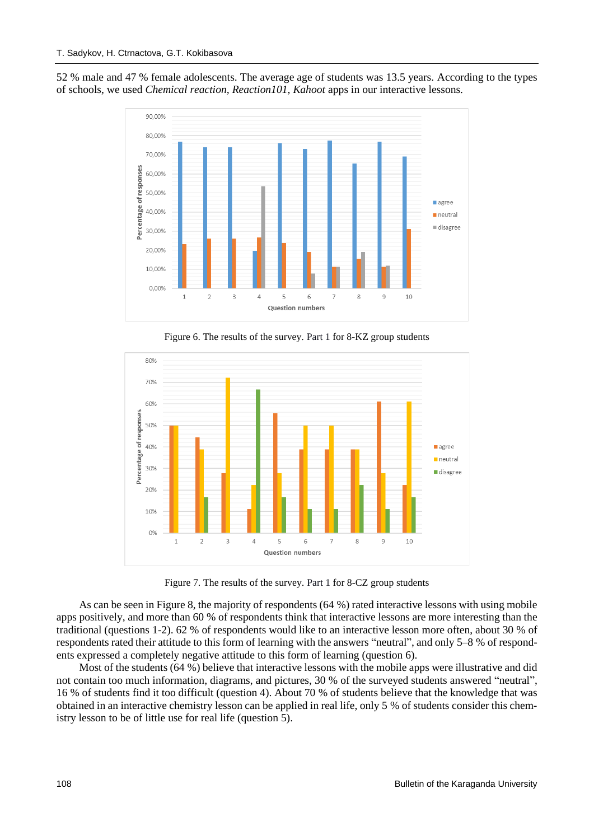52 % male and 47 % female adolescents. The average age of students was 13.5 years. According to the types of schools, we used *Chemical reaction, Reaction101, Kahoot* apps in our interactive lessons.



Figure 6. The results of the survey*.* Part 1 for 8-KZ group students



Figure 7. The results of the survey*.* Part 1 for 8-CZ group students

As can be seen in Figure 8, the majority of respondents (64 %) rated interactive lessons with using mobile apps positively, and more than 60 % of respondents think that interactive lessons are more interesting than the traditional (questions 1-2). 62 % of respondents would like to an interactive lesson more often, about 30 % of respondents rated their attitude to this form of learning with the answers "neutral", and only 5–8 % of respondents expressed a completely negative attitude to this form of learning (question 6).

Most of the students (64 %) believe that interactive lessons with the mobile apps were illustrative and did not contain too much information, diagrams, and pictures, 30 % of the surveyed students answered "neutral", 16 % of students find it too difficult (question 4). About 70 % of students believe that the knowledge that was obtained in an interactive chemistry lesson can be applied in real life, only 5 % of students consider this chemistry lesson to be of little use for real life (question 5).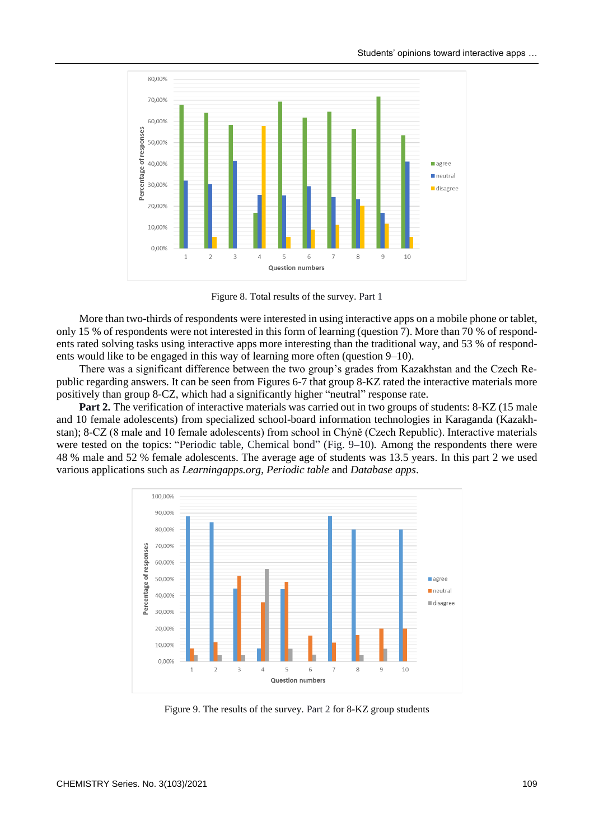

Figure 8. Total results of the survey*.* Part 1

More than two-thirds of respondents were interested in using interactive apps on a mobile phone or tablet, only 15 % of respondents were not interested in this form of learning (question 7). More than 70 % of respondents rated solving tasks using interactive apps more interesting than the traditional way, and 53 % of respondents would like to be engaged in this way of learning more often (question 9–10).

There was a significant difference between the two group's grades from Kazakhstan and the Czech Republic regarding answers. It can be seen from Figures 6-7 that group 8-KZ rated the interactive materials more positively than group 8-CZ, which had a significantly higher "neutral" response rate.

Part 2. The verification of interactive materials was carried out in two groups of students: 8-KZ (15 male and 10 female adolescents) from specialized school-board information technologies in Karaganda (Kazakhstan); 8-CZ (8 male and 10 female adolescents) from school in Chýně (Czech Republic). Interactive materials were tested on the topics: "Periodic table, Chemical bond" (Fig. 9–10)*.* Among the respondents there were 48 % male and 52 % female adolescents. The average age of students was 13.5 years. In this part 2 we used various applications such as *Learningapps.org*, *Periodic table* and *Database apps*.



Figure 9. The results of the survey*.* Part 2 for 8-KZ group students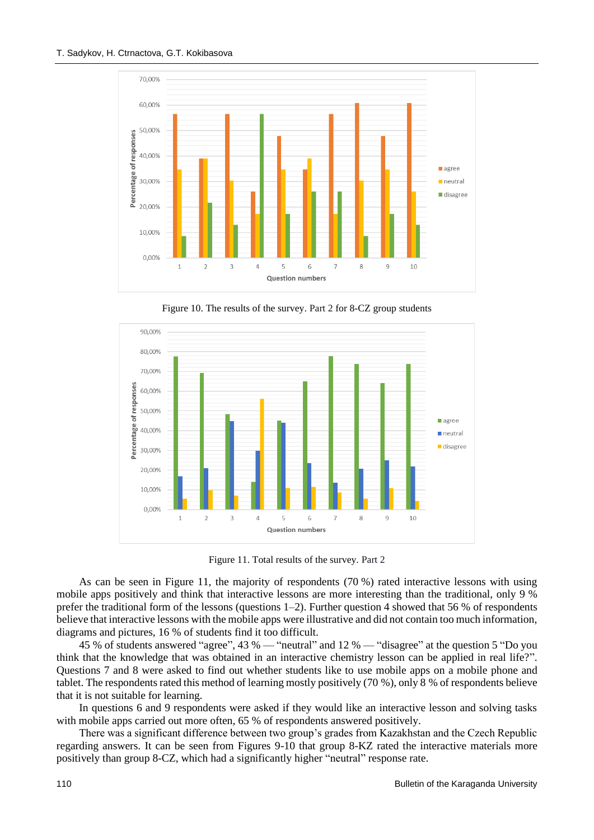

Figure 10. The results of the survey*.* Part 2 for 8-CZ group students



Figure 11. Total results of the survey*.* Part 2

As can be seen in Figure 11, the majority of respondents (70 %) rated interactive lessons with using mobile apps positively and think that interactive lessons are more interesting than the traditional, only 9 % prefer the traditional form of the lessons (questions 1–2). Further question 4 showed that 56 % of respondents believe that interactive lessons with the mobile apps were illustrative and did not contain too much information, diagrams and pictures, 16 % of students find it too difficult.

45 % of students answered "agree", 43 % — "neutral" and 12 % — "disagree" at the question 5 "Do you think that the knowledge that was obtained in an interactive chemistry lesson can be applied in real life?". Questions 7 and 8 were asked to find out whether students like to use mobile apps on a mobile phone and tablet. The respondents rated this method of learning mostly positively (70 %), only 8 % of respondents believe that it is not suitable for learning.

In questions 6 and 9 respondents were asked if they would like an interactive lesson and solving tasks with mobile apps carried out more often, 65 % of respondents answered positively.

There was a significant difference between two group's grades from Kazakhstan and the Czech Republic regarding answers. It can be seen from Figures 9-10 that group 8-KZ rated the interactive materials more positively than group 8-CZ, which had a significantly higher "neutral" response rate.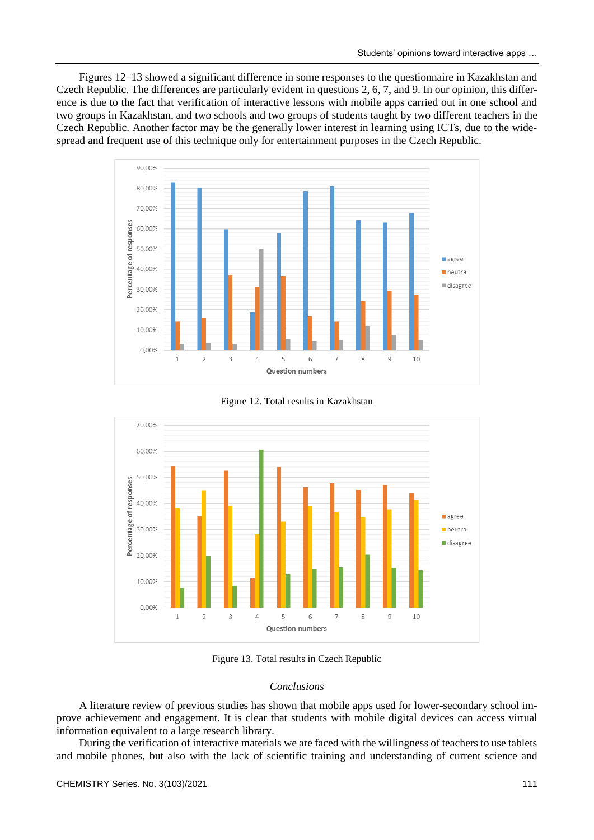Figures 12–13 showed a significant difference in some responses to the questionnaire in Kazakhstan and Czech Republic. The differences are particularly evident in questions 2, 6, 7, and 9. In our opinion, this difference is due to the fact that verification of interactive lessons with mobile apps carried out in one school and two groups in Kazakhstan, and two schools and two groups of students taught by two different teachers in the Czech Republic. Another factor may be the generally lower interest in learning using ICTs, due to the widespread and frequent use of this technique only for entertainment purposes in the Czech Republic.







Figure 13. Total results in Czech Republic

### *Conclusions*

A literature review of previous studies has shown that mobile apps used for lower-secondary school improve achievement and engagement. It is clear that students with mobile digital devices can access virtual information equivalent to a large research library.

During the verification of interactive materials we are faced with the willingness of teachers to use tablets and mobile phones, but also with the lack of scientific training and understanding of current science and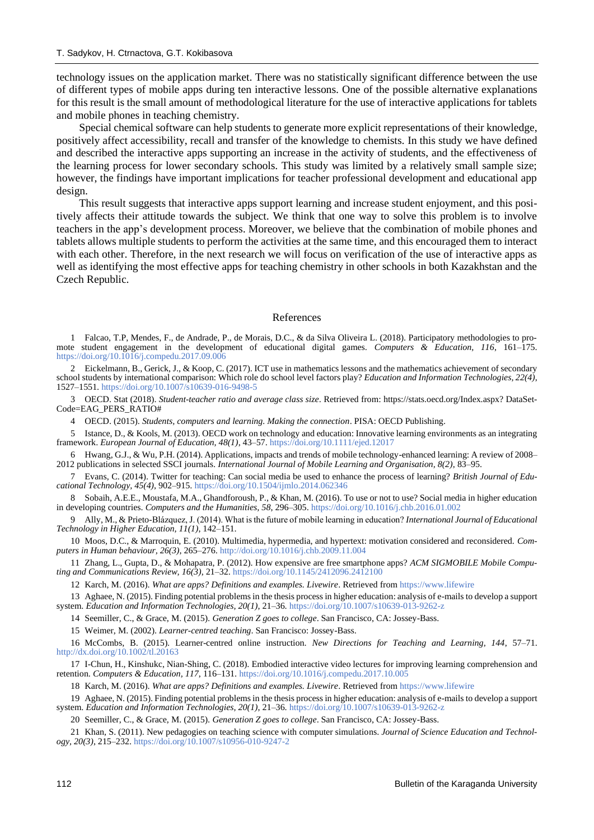technology issues on the application market. There was no statistically significant difference between the use of different types of mobile apps during ten interactive lessons. One of the possible alternative explanations for this result is the small amount of methodological literature for the use of interactive applications for tablets and mobile phones in teaching chemistry.

Special chemical software can help students to generate more explicit representations of their knowledge, positively affect accessibility, recall and transfer of the knowledge to chemists. In this study we have defined and described the interactive apps supporting an increase in the activity of students, and the effectiveness of the learning process for lower secondary schools. This study was limited by a relatively small sample size; however, the findings have important implications for teacher professional development and educational app design.

This result suggests that interactive apps support learning and increase student enjoyment, and this positively affects their attitude towards the subject. We think that one way to solve this problem is to involve teachers in the app's development process. Moreover, we believe that the combination of mobile phones and tablets allows multiple students to perform the activities at the same time, and this encouraged them to interact with each other. Therefore, in the next research we will focus on verification of the use of interactive apps as well as identifying the most effective apps for teaching chemistry in other schools in both Kazakhstan and the Czech Republic.

### References

1 Falcao, T.P, Mendes, F., de Andrade, P., de Morais, D.C., & da Silva Oliveira L. (2018). Participatory methodologies to promote student engagement in the development of educational digital games. *Computers & Education, 116*, 161–175. <https://doi.org/10.1016/j.compedu.2017.09.006>

2 Eickelmann, B., Gerick, J., & Koop, C. (2017). ICT use in mathematics lessons and the mathematics achievement of secondary school students by international comparison: Which role do school level factors play? *Education and Information Technologies, 22(4)*, 1527–1551[. https://doi.org/10.1007/s10639-016-9498-5](https://doi.org/10.1007/s10639-016-9498-5)

3 OECD. Stat (2018). *Student-teacher ratio and average class size*. Retrieved from: https://stats.oecd.org/Index.aspx? DataSet-Code=EAG\_PERS\_RATIO#

4 OECD. (2015). *Students, computers and learning. Making the connection*. PISA: OECD Publishing.

5 Istance, D., & Kools, M. (2013). OECD work on technology and education: Innovative learning environments as an integrating framework. *European Journal of Education, 48(1)*, 43–57[. https://doi.org/10.1111/ejed.12017](https://doi.org/10.1111/ejed.12017)

6 Hwang, G.J., & Wu, P.H. (2014). Applications, impacts and trends of mobile technology-enhanced learning: A review of 2008– 2012 publications in selected SSCI journals. *International Journal of Mobile Learning and Organisation, 8(2)*, 83–95.

7 Evans, C. (2014). Twitter for teaching: Can social media be used to enhance the process of learning? *British Journal of Educational Technology, 45(4)*, 902–915.<https://doi.org/10.1504/ijmlo.2014.062346>

8 Sobaih, A.E.E., Moustafa, M.A., Ghandforoush, P., & Khan, M. (2016). To use or not to use? Social media in higher education in developing countries. *Computers and the Humanities, 58*, 296–305.<https://doi.org/10.1016/j.chb.2016.01.002>

9 Ally, M., & Prieto-Blázquez, J. (2014). What is the future of mobile learning in education? *International Journal of Educational Technology in Higher Education, 11(1)*, 142–151.

10 Moos, D.C., & Marroquin, E. (2010). Multimedia, hypermedia, and hypertext: motivation considered and reconsidered. *Computers in Human behaviour, 26(3)*, 265–276[. http://doi.org/10.1016/j.chb.2009.11.004](http://doi.org/10.1016/j.chb.2009.11.004)

11 Zhang, L., Gupta, D., & Mohapatra, P. (2012). How expensive are free smartphone apps? *ACM SIGMOBILE Mobile Computing and Communications Review, 16(3)*, 21–32[. https://doi.org/10.1145/2412096.2412100](https://doi.org/10.1145/2412096.2412100)

12 Karch, M. (2016). *What are apps? Definitions and examples. Livewire*. Retrieved fro[m https://www.lifewire](https://www.lifewire/)

13 Aghaee, N. (2015). Finding potential problems in the thesis process in higher education: analysis of e-mails to develop a support system. *Education and Information Technologies, 20(1)*, 21–36.<https://doi.org/10.1007/s10639-013-9262-z>

14 Seemiller, C., & Grace, M. (2015). *Generation Z goes to college*. San Francisco, CA: Jossey-Bass.

15 Weimer, M. (2002). *Learner-centred teaching*. San Francisco: Jossey-Bass.

16 McCombs, B. (2015). Learner-centred online instruction. *New Directions for Teaching and Learning, 144*, 57–71. <http://dx.doi.org/10.1002/tl.20163>

17 I-Chun, H., Kinshukc, Nian-Shing, C. (2018). Embodied interactive video lectures for improving learning comprehension and retention. *Computers & Education, 117*, 116–131[. https://doi.org/10.1016/j.compedu.2017.10.005](https://doi.org/10.1016/j.compedu.2017.10.005)

18 Karch, M. (2016). *What are apps? Definitions and examples. Livewire*. Retrieved fro[m https://www.lifewire](https://www.lifewire/)

19 Aghaee, N. (2015). Finding potential problems in the thesis process in higher education: analysis of e-mails to develop a support system. *Education and Information Technologies, 20(1)*, 21–36.<https://doi.org/10.1007/s10639-013-9262-z>

20 Seemiller, C., & Grace, M. (2015). *Generation Z goes to college*. San Francisco, CA: Jossey-Bass.

21 Khan, S. (2011). New pedagogies on teaching science with computer simulations. *Journal of Science Education and Technology, 20(3)*, 215–232.<https://doi.org/10.1007/s10956-010-9247-2>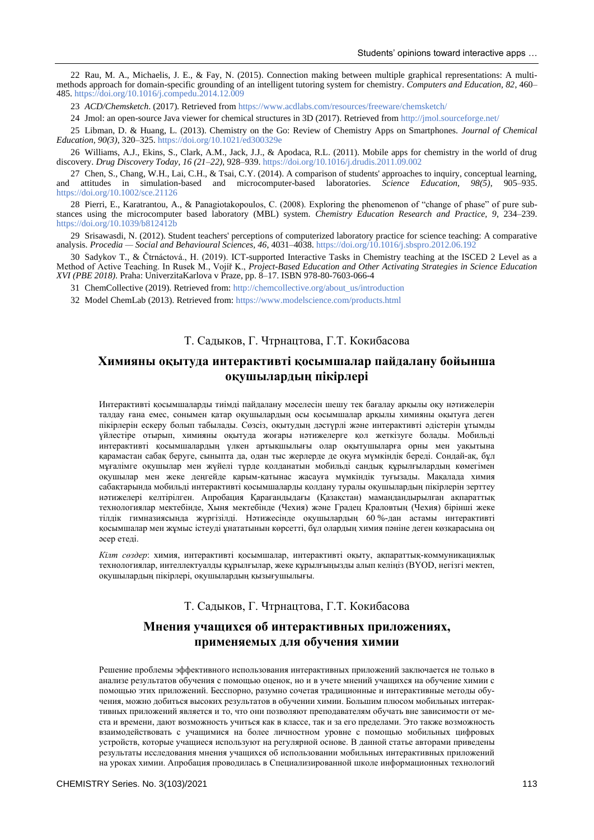22 Rau, M. A., Michaelis, J. E., & Fay, N. (2015). Connection making between multiple graphical representations: A multimethods approach for domain-specific grounding of an intelligent tutoring system for chemistry. *Computers and Education, 82*, 460– 485[. https://doi.org/10.1016/j.compedu.2014.12.009](https://doi.org/10.1016/j.compedu.2014.12.009)

23 *ACD/Chemsketch*. (2017). Retrieved from<https://www.acdlabs.com/resources/freeware/chemsketch/>

24 Jmol: an open-source Java viewer for chemical structures in 3D (2017). Retrieved from <http://jmol.sourceforge.net/>

25 Libman, D. & Huang, L. (2013). Chemistry on the Go: Review of Chemistry Apps on Smartphones. *Journal of Chemical Education, 90(3)*, 320–325.<https://doi.org/10.1021/ed300329e>

26 Williams, A.J., Ekins, S., Clark, A.M., Jack, J.J., & Apodaca, R.L. (2011). Mobile apps for chemistry in the world of drug discovery. *Drug Discovery Today, 16 (21–22)*, 928–939[. https://doi.org/10.1016/j.drudis.2011.09.002](https://doi.org/10.1016/j.drudis.2011.09.002)

27 Chen, S., Chang, W.H., Lai, C.H., & Tsai, C.Y. (2014). A comparison of students' approaches to inquiry, conceptual learning, and attitudes in simulation-based and microcomputer-based laboratories. *Science Education, 98(5)*, 905–935. <https://doi.org/10.1002/sce.21126>

28 Pierri, E., Karatrantou, A., & Panagiotakopoulos, C. (2008). Exploring the phenomenon of "change of phase" of pure substances using the microcomputer based laboratory (MBL) system. *Chemistry Education Research and Practice, 9*, 234–239. <https://doi.org/10.1039/b812412b>

29 Srisawasdi, N. (2012). Student teachers' perceptions of computerized laboratory practice for science teaching: A comparative analysis. *Procedia — Social and Behavioural Sciences, 46*, 4031–4038.<https://doi.org/10.1016/j.sbspro.2012.06.192>

30 Sadykov T., & Čtrnáctová., H. (2019). ICT-supported Interactive Tasks in Chemistry teaching at the ISCED 2 Level as a Method of Active Teaching. In Rusek M., Vojíř K., *Project-Based Education and Other Activating Strategies in Science Education XVI (PBE 2018)*. Praha: UniverzitaKarlova v Praze, pp. 8–17. ISBN 978-80-7603-066-4

31 ChemCollective (2019). Retrieved from: [http://chemcollective.org/about\\_us/introduction](http://chemcollective.org/about_us/introduction)

32 Model ChemLab (2013). Retrieved from[: https://www.modelscience.com/products.html](https://www.modelscience.com/products.html)

### Т. Садыков, Г. Чтрнацтова, Г.Т. Кокибасова

## **Химияны оқытуда интерактивті қосымшалар пайдалану бойынша оқушылардың пікірлері**

Интерактивті қосымшаларды тиімді пайдалану мәселесін шешу тек бағалау арқылы оқу нәтижелерін талдау ғана емес, сонымен қатар оқушылардың осы қосымшалар арқылы химияны оқытуға деген пікірлерін ескеру болып табылады. Сөзсіз, оқытудың дәстүрлі және интерактивті әдістерін ұтымды үйлестіре отырып, химияны оқытуда жоғары нәтижелерге қол жеткізуге болады. Мобильді интерактивті қосымшалардың үлкен артықшылығы олар оқытушыларға орны мен уақытына қарамастан сабақ беруге, сыныпта да, одан тыс жерлерде де оқуға мүмкіндік береді. Сондай-ақ, бұл мұғалімге оқушылар мен жүйелі түрде қолданатын мобильді сандық құрылғылардың көмегімен оқушылар мен жеке деңгейде қарым-қатынас жасауға мүмкіндік туғызады. Мақалада химия сабақтарында мобильді интерактивті қосымшаларды қолдану туралы оқушылардың пікірлерін зерттеу нәтижелері келтірілген. Апробация Қарағандыдағы (Қазақстан) мамандандырылған ақпараттық технологиялар мектебінде, Хыня мектебінде (Чехия) және Градец Краловтың (Чехия) бірінші жеке тілдік гимназиясында жүргізілді. Нәтижесінде оқушылардың 60 %-дан астамы интерактивті қосымшалар мен жұмыс істеуді ұнататынын көрсетті, бұл олардың химия пәніне деген көзқарасына оң әсер етеді.

*Кілт сөздер*: химия, интерактивті қосымшалар, интерактивті оқыту, ақпараттық-коммуникациялық технологиялар, интеллектуалды құрылғылар, жеке құрылғыңызды алып келіңіз (BYOD, негізгі мектеп, оқушылардың пікірлері, оқушылардың қызығушылығы.

## Т. Садыков, Г. Чтрнацтова, Г.Т. Кокибасова

## **Мнения учащихся об интерактивных приложениях, применяемых для обучения химии**

Решение проблемы эффективного использования интерактивных приложений заключается не только в анализе результатов обучения с помощью оценок, но и в учете мнений учащихся на обучение химии с помощью этих приложений. Бесcпорно, разумно сочетая традиционные и интерактивные методы обучения, можно добиться высоких результатов в обучении химии. Большим плюсом мобильных интерактивных приложений является и то, что они позволяют преподавателям обучать вне зависимости от места и времени, дают возможность учиться как в классе, так и за его пределами. Это также возможность взаимодействовать с учащимися на более личностном уровне с помощью мобильных цифровых устройств, которые учащиеся используют на регулярной основе. В данной статье авторами приведены результаты исследования мнения учащихся об использовании мобильных интерактивных приложений на уроках химии. Апробация проводилась в Специализированной школе информационных технологий